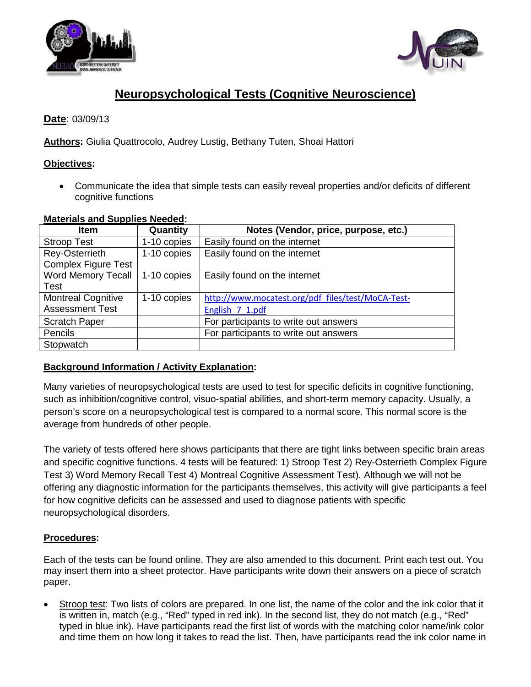



# **Neuropsychological Tests (Cognitive Neuroscience)**

# **Date**: 03/09/13

**Authors:** Giulia Quattrocolo, Audrey Lustig, Bethany Tuten, Shoai Hattori

### **Objectives:**

• Communicate the idea that simple tests can easily reveal properties and/or deficits of different cognitive functions

| matorialo ana oapphoo nooaoa. |             |                                                   |  |  |  |
|-------------------------------|-------------|---------------------------------------------------|--|--|--|
| <b>Item</b>                   | Quantity    | Notes (Vendor, price, purpose, etc.)              |  |  |  |
| <b>Stroop Test</b>            | 1-10 copies | Easily found on the internet                      |  |  |  |
| Rey-Osterrieth                | 1-10 copies | Easily found on the internet                      |  |  |  |
| <b>Complex Figure Test</b>    |             |                                                   |  |  |  |
| <b>Word Memory Tecall</b>     | 1-10 copies | Easily found on the internet                      |  |  |  |
| <b>Test</b>                   |             |                                                   |  |  |  |
| <b>Montreal Cognitive</b>     | 1-10 copies | http://www.mocatest.org/pdf_files/test/MoCA-Test- |  |  |  |
| <b>Assessment Test</b>        |             | English 7 1.pdf                                   |  |  |  |
| <b>Scratch Paper</b>          |             | For participants to write out answers             |  |  |  |
| Pencils                       |             | For participants to write out answers             |  |  |  |
| Stopwatch                     |             |                                                   |  |  |  |

#### **Materials and Supplies Needed :**

# **Background Information / Activity Explanation :**

Many varieties of neuropsychological tests are used to test for specific deficits in cognitive functioning, such as inhibition/cognitive control, visuo-spatial abilities, and short-term memory capacity. Usually, a person's score on a neuropsychological test is compared to a normal score. This normal score is the average from hundreds of other people.

The variety of tests offered here shows participants that there are tight links between specific brain areas and specific cognitive functions. 4 tests will be featured: 1) Stroop Test 2) Rey-Osterrieth Complex Figure Test 3) Word Memory Recall Test 4) Montreal Cognitive Assessment Test). Although we will not be offering any diagnostic information for the participants themselves, this activity will give participants a feel for how cognitive deficits can be assessed and used to diagnose patients with specific neuropsychological disorders.

### **Procedures:**

Each of the tests can be found online. They are also amended to this document. Print each test out. You may insert them into a sheet protector. Have participants write down their answers on a piece of scratch paper.

• Stroop test: Two lists of colors are prepared. In one list, the name of the color and the ink color that it is written in, match (e.g., "Red" typed in red ink). In the second list, they do not match (e.g., "Red" typed in blue ink). Have participants read the first list of words with the matching color name/ink color and time them on how long it takes to read the list. Then, have participants read the ink color name in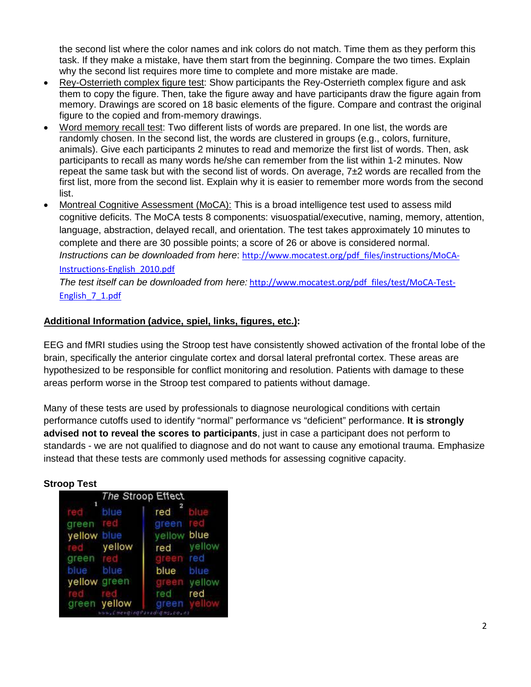the second list where the color names and ink colors do not match. Time them as they perform this task. If they make a mistake, have them start from the beginning. Compare the two times. Explain why the second list requires more time to complete and more mistake are made.

- Rey-Osterrieth complex figure test: Show participants the Rey-Osterrieth complex figure and ask them to copy the figure. Then, take the figure away and have participants draw the figure again from memory. Drawings are scored on 18 basic elements of the figure. Compare and contrast the original figure to the copied and from-memory drawings.
- Word memory recall test: Two different lists of words are prepared. In one list, the words are randomly chosen. In the second list, the words are clustered in groups (e.g., colors, furniture, animals). Give each participants 2 minutes to read and memorize the first list of words. Then, ask participants to recall as many words he/she can remember from the list within 1-2 minutes. Now repeat the same task but with the second list of words. On average, 7±2 words are recalled from the first list, more from the second list. Explain why it is easier to remember more words from the second list.
- Montreal Cognitive Assessment (MoCA): This is a broad intelligence test used to assess mild Instructions can be downloaded from here: [http://www.mocatest.org/pdf\\_files/instructions/MoCA](http://www.mocatest.org/pdf_files/instructions/MoCA-Instructions-English_2010.pdf)cognitive deficits. The MoCA tests 8 components: visuospatial/executive, naming, memory, attention, language, abstraction, delayed recall, and orientation. The test takes approximately 10 minutes to complete and there are 30 possible points; a score of 26 or above is considered normal. [Instructions-English\\_2010.pdf](http://www.mocatest.org/pdf_files/instructions/MoCA-Instructions-English_2010.pdf)

*The test itself can be downloaded from here:* [http://www.mocatest.org/pdf\\_files/test/MoCA-Test-](http://www.mocatest.org/pdf_files/test/MoCA-Test-English_7_1.pdf)[English\\_7\\_1.pdf](http://www.mocatest.org/pdf_files/test/MoCA-Test-English_7_1.pdf)

## **Additional Information (advice, spiel, links, figures, etc.):**

EEG and fMRI studies using the Stroop test have consistently showed activation of the frontal lobe of the brain, specifically the anterior cingulate cortex and dorsal lateral prefrontal cortex. These areas are hypothesized to be responsible for conflict monitoring and resolution. Patients with damage to these areas perform worse in the Stroop test compared to patients without damage.

Many of these tests are used by professionals to diagnose neurological conditions with certain performance cutoffs used to identify "normal" performance vs "deficient" performance. **It is strongly advised not to reveal the scores to participants**, just in case a participant does not perform to standards - we are not qualified to diagnose and do not want to cause any emotional trauma. Emphasize instead that these tests are commonly used methods for assessing cognitive capacity.

|              |              | The Stroop Effect |        |
|--------------|--------------|-------------------|--------|
|              | blue         | 2<br>red          |        |
| areen        | red          | green             |        |
| yellow blue  |              | yellow blue       |        |
|              | yellow       | red               | yellow |
| areen        |              |                   | red    |
| blue blue    |              | blue              | blue   |
| yellow green |              |                   | yellow |
|              |              | red               | red    |
|              | green yellow | areen             |        |

#### **Stroop Test**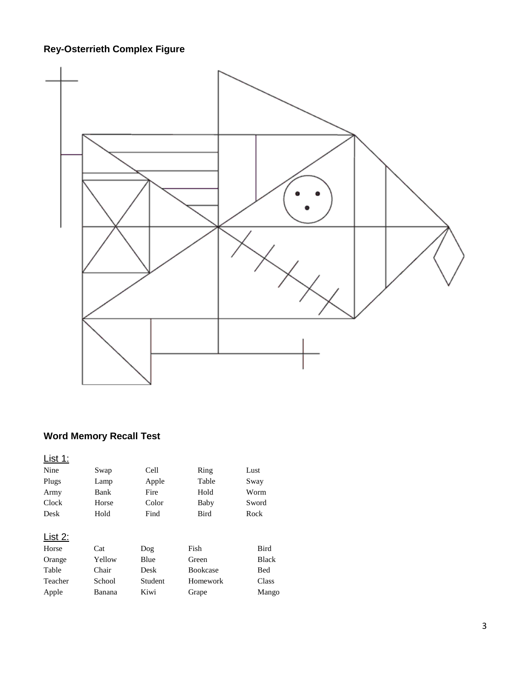# **Rey-Osterrieth Complex Figure**



# **Word Memory Recall Test**

| <u> List 1:</u> |        |         |                 |              |
|-----------------|--------|---------|-----------------|--------------|
| Nine            | Swap   | Cell    | Ring            | Lust         |
| Plugs           | Lamp   | Apple   | Table           | Sway         |
| Army            | Bank   | Fire    | Hold            | Worm         |
| Clock           | Horse  | Color   | Baby            | Sword        |
| Desk            | Hold   | Find    | <b>Bird</b>     | Rock         |
|                 |        |         |                 |              |
| List 2:         |        |         |                 |              |
| Horse           | Cat    | Dog     | Fish            | <b>Bird</b>  |
| Orange          | Yellow | Blue    | Green           | <b>Black</b> |
| Table           | Chair  | Desk    | <b>Bookcase</b> | Bed          |
| Teacher         | School | Student | Homework        | Class        |
| Apple           | Banana | Kiwi    | Grape           | Mango        |
|                 |        |         |                 |              |